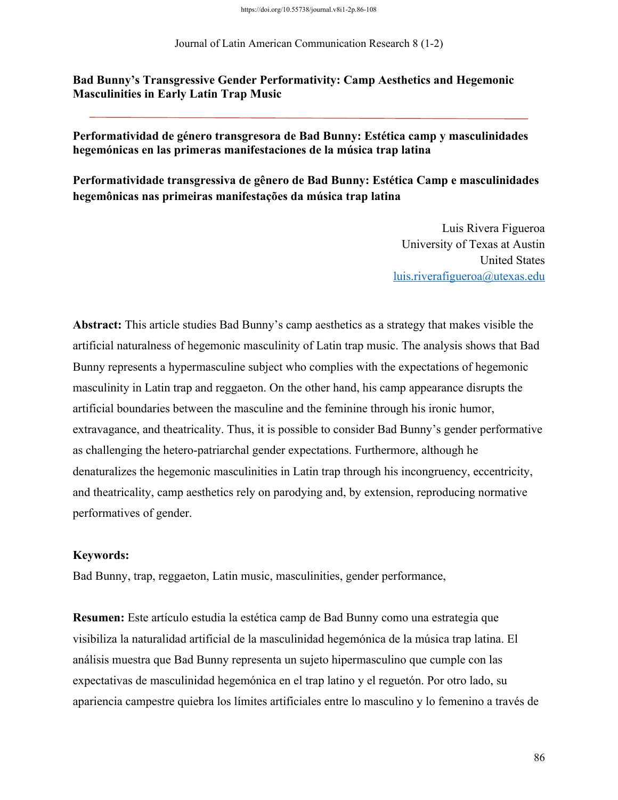#### Journal of Latin American Communication Research 8 (1-2)

**Bad Bunny's Transgressive Gender Performativity: Camp Aesthetics and Hegemonic Masculinities in Early Latin Trap Music**

**Performatividad de género transgresora de Bad Bunny: Estética camp y masculinidades hegemónicas en las primeras manifestaciones de la música trap latina** 

**Performatividade transgressiva de gênero de Bad Bunny: Estética Camp e masculinidades hegemônicas nas primeiras manifestações da música trap latina**

> Luis Rivera Figueroa University of Texas at Austin United States luis.riverafigueroa@utexas.edu

**Abstract:** This article studies Bad Bunny's camp aesthetics as a strategy that makes visible the artificial naturalness of hegemonic masculinity of Latin trap music. The analysis shows that Bad Bunny represents a hypermasculine subject who complies with the expectations of hegemonic masculinity in Latin trap and reggaeton. On the other hand, his camp appearance disrupts the artificial boundaries between the masculine and the feminine through his ironic humor, extravagance, and theatricality. Thus, it is possible to consider Bad Bunny's gender performative as challenging the hetero-patriarchal gender expectations. Furthermore, although he denaturalizes the hegemonic masculinities in Latin trap through his incongruency, eccentricity, and theatricality, camp aesthetics rely on parodying and, by extension, reproducing normative performatives of gender.

## **Keywords:**

Bad Bunny, trap, reggaeton, Latin music, masculinities, gender performance,

**Resumen:** Este artículo estudia la estética camp de Bad Bunny como una estrategia que visibiliza la naturalidad artificial de la masculinidad hegemónica de la música trap latina. El análisis muestra que Bad Bunny representa un sujeto hipermasculino que cumple con las expectativas de masculinidad hegemónica en el trap latino y el reguetón. Por otro lado, su apariencia campestre quiebra los límites artificiales entre lo masculino y lo femenino a través de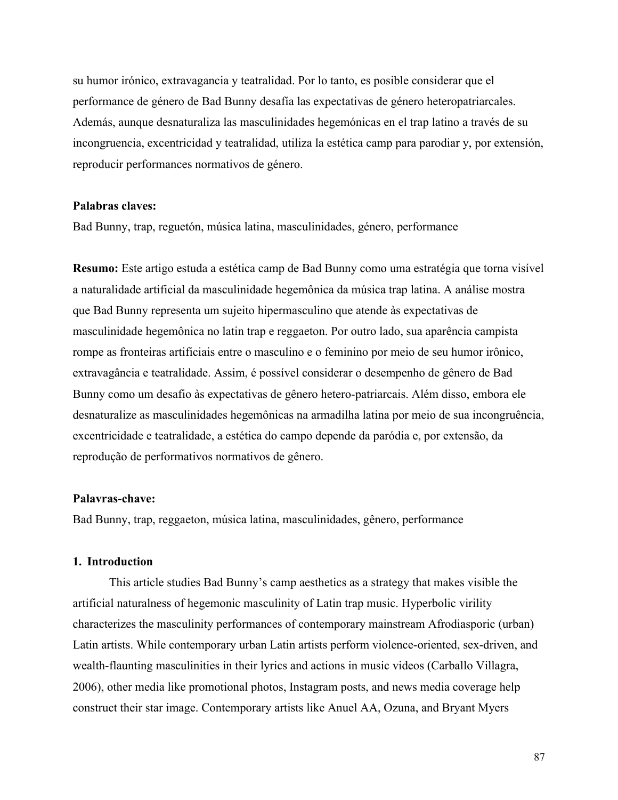su humor irónico, extravagancia y teatralidad. Por lo tanto, es posible considerar que el performance de género de Bad Bunny desafía las expectativas de género heteropatriarcales. Además, aunque desnaturaliza las masculinidades hegemónicas en el trap latino a través de su incongruencia, excentricidad y teatralidad, utiliza la estética camp para parodiar y, por extensión, reproducir performances normativos de género.

### **Palabras claves:**

Bad Bunny, trap, reguetón, música latina, masculinidades, género, performance

**Resumo:** Este artigo estuda a estética camp de Bad Bunny como uma estratégia que torna visível a naturalidade artificial da masculinidade hegemônica da música trap latina. A análise mostra que Bad Bunny representa um sujeito hipermasculino que atende às expectativas de masculinidade hegemônica no latin trap e reggaeton. Por outro lado, sua aparência campista rompe as fronteiras artificiais entre o masculino e o feminino por meio de seu humor irônico, extravagância e teatralidade. Assim, é possível considerar o desempenho de gênero de Bad Bunny como um desafio às expectativas de gênero hetero-patriarcais. Além disso, embora ele desnaturalize as masculinidades hegemônicas na armadilha latina por meio de sua incongruência, excentricidade e teatralidade, a estética do campo depende da paródia e, por extensão, da reprodução de performativos normativos de gênero.

#### **Palavras-chave:**

Bad Bunny, trap, reggaeton, música latina, masculinidades, gênero, performance

## **1. Introduction**

This article studies Bad Bunny's camp aesthetics as a strategy that makes visible the artificial naturalness of hegemonic masculinity of Latin trap music. Hyperbolic virility characterizes the masculinity performances of contemporary mainstream Afrodiasporic (urban) Latin artists. While contemporary urban Latin artists perform violence-oriented, sex-driven, and wealth-flaunting masculinities in their lyrics and actions in music videos (Carballo Villagra, 2006), other media like promotional photos, Instagram posts, and news media coverage help construct their star image. Contemporary artists like Anuel AA, Ozuna, and Bryant Myers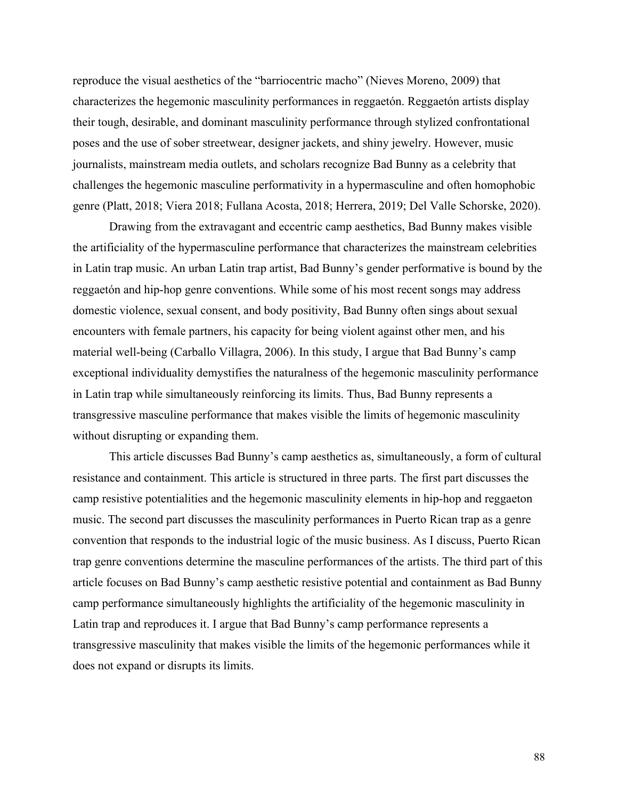reproduce the visual aesthetics of the "barriocentric macho" (Nieves Moreno, 2009) that characterizes the hegemonic masculinity performances in reggaetón. Reggaetón artists display their tough, desirable, and dominant masculinity performance through stylized confrontational poses and the use of sober streetwear, designer jackets, and shiny jewelry. However, music journalists, mainstream media outlets, and scholars recognize Bad Bunny as a celebrity that challenges the hegemonic masculine performativity in a hypermasculine and often homophobic genre (Platt, 2018; Viera 2018; Fullana Acosta, 2018; Herrera, 2019; Del Valle Schorske, 2020).

Drawing from the extravagant and eccentric camp aesthetics, Bad Bunny makes visible the artificiality of the hypermasculine performance that characterizes the mainstream celebrities in Latin trap music. An urban Latin trap artist, Bad Bunny's gender performative is bound by the reggaetón and hip-hop genre conventions. While some of his most recent songs may address domestic violence, sexual consent, and body positivity, Bad Bunny often sings about sexual encounters with female partners, his capacity for being violent against other men, and his material well-being (Carballo Villagra, 2006). In this study, I argue that Bad Bunny's camp exceptional individuality demystifies the naturalness of the hegemonic masculinity performance in Latin trap while simultaneously reinforcing its limits. Thus, Bad Bunny represents a transgressive masculine performance that makes visible the limits of hegemonic masculinity without disrupting or expanding them.

This article discusses Bad Bunny's camp aesthetics as, simultaneously, a form of cultural resistance and containment. This article is structured in three parts. The first part discusses the camp resistive potentialities and the hegemonic masculinity elements in hip-hop and reggaeton music. The second part discusses the masculinity performances in Puerto Rican trap as a genre convention that responds to the industrial logic of the music business. As I discuss, Puerto Rican trap genre conventions determine the masculine performances of the artists. The third part of this article focuses on Bad Bunny's camp aesthetic resistive potential and containment as Bad Bunny camp performance simultaneously highlights the artificiality of the hegemonic masculinity in Latin trap and reproduces it. I argue that Bad Bunny's camp performance represents a transgressive masculinity that makes visible the limits of the hegemonic performances while it does not expand or disrupts its limits.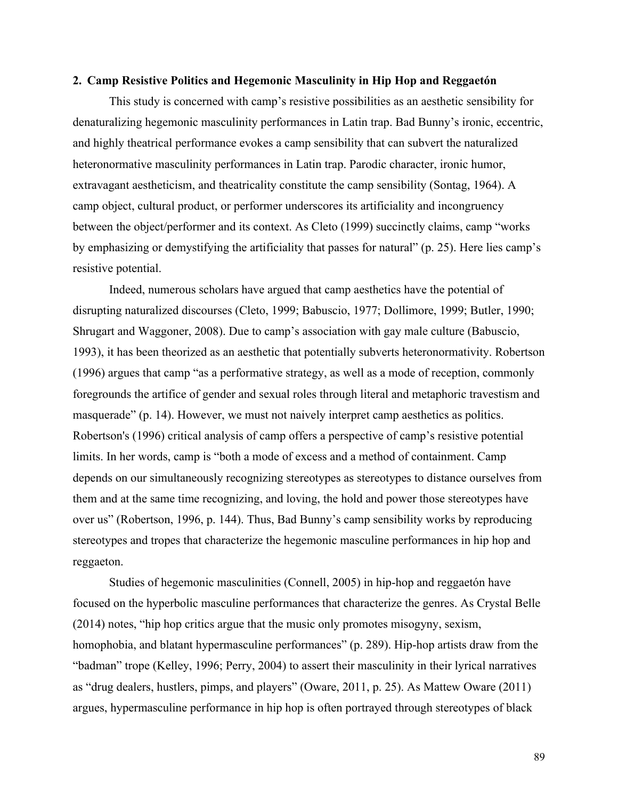#### **2. Camp Resistive Politics and Hegemonic Masculinity in Hip Hop and Reggaetón**

This study is concerned with camp's resistive possibilities as an aesthetic sensibility for denaturalizing hegemonic masculinity performances in Latin trap. Bad Bunny's ironic, eccentric, and highly theatrical performance evokes a camp sensibility that can subvert the naturalized heteronormative masculinity performances in Latin trap. Parodic character, ironic humor, extravagant aestheticism, and theatricality constitute the camp sensibility (Sontag, 1964). A camp object, cultural product, or performer underscores its artificiality and incongruency between the object/performer and its context. As Cleto (1999) succinctly claims, camp "works by emphasizing or demystifying the artificiality that passes for natural" (p. 25). Here lies camp's resistive potential.

Indeed, numerous scholars have argued that camp aesthetics have the potential of disrupting naturalized discourses (Cleto, 1999; Babuscio, 1977; Dollimore, 1999; Butler, 1990; Shrugart and Waggoner, 2008). Due to camp's association with gay male culture (Babuscio, 1993), it has been theorized as an aesthetic that potentially subverts heteronormativity. Robertson (1996) argues that camp "as a performative strategy, as well as a mode of reception, commonly foregrounds the artifice of gender and sexual roles through literal and metaphoric travestism and masquerade" (p. 14). However, we must not naively interpret camp aesthetics as politics. Robertson's (1996) critical analysis of camp offers a perspective of camp's resistive potential limits. In her words, camp is "both a mode of excess and a method of containment. Camp depends on our simultaneously recognizing stereotypes as stereotypes to distance ourselves from them and at the same time recognizing, and loving, the hold and power those stereotypes have over us" (Robertson, 1996, p. 144). Thus, Bad Bunny's camp sensibility works by reproducing stereotypes and tropes that characterize the hegemonic masculine performances in hip hop and reggaeton.

Studies of hegemonic masculinities (Connell, 2005) in hip-hop and reggaetón have focused on the hyperbolic masculine performances that characterize the genres. As Crystal Belle (2014) notes, "hip hop critics argue that the music only promotes misogyny, sexism, homophobia, and blatant hypermasculine performances" (p. 289). Hip-hop artists draw from the "badman" trope (Kelley, 1996; Perry, 2004) to assert their masculinity in their lyrical narratives as "drug dealers, hustlers, pimps, and players" (Oware, 2011, p. 25). As Mattew Oware (2011) argues, hypermasculine performance in hip hop is often portrayed through stereotypes of black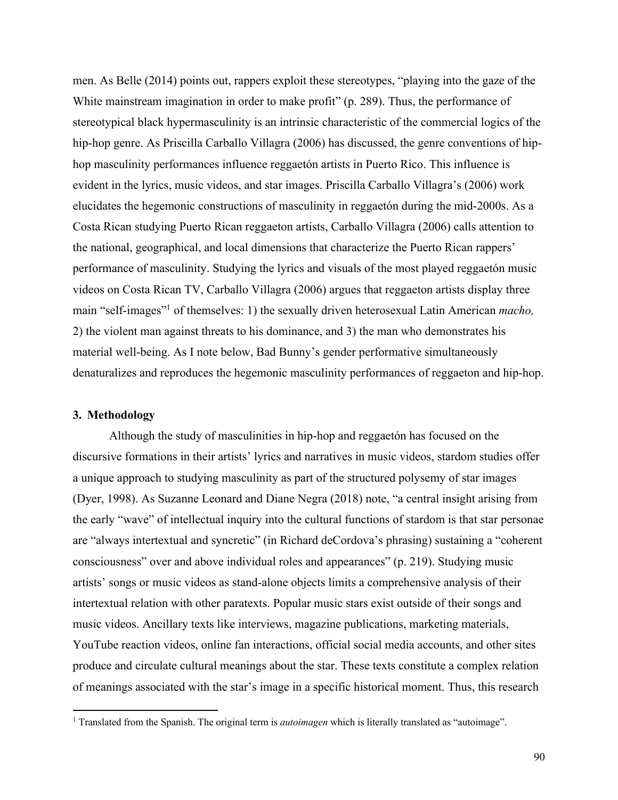men. As Belle (2014) points out, rappers exploit these stereotypes, "playing into the gaze of the White mainstream imagination in order to make profit" (p. 289). Thus, the performance of stereotypical black hypermasculinity is an intrinsic characteristic of the commercial logics of the hip-hop genre. As Priscilla Carballo Villagra (2006) has discussed, the genre conventions of hiphop masculinity performances influence reggaetón artists in Puerto Rico. This influence is evident in the lyrics, music videos, and star images. Priscilla Carballo Villagra's (2006) work elucidates the hegemonic constructions of masculinity in reggaetón during the mid-2000s. As a Costa Rican studying Puerto Rican reggaeton artists, Carballo Villagra (2006) calls attention to the national, geographical, and local dimensions that characterize the Puerto Rican rappers' performance of masculinity. Studying the lyrics and visuals of the most played reggaetón music videos on Costa Rican TV, Carballo Villagra (2006) argues that reggaeton artists display three main "self-images"1 of themselves: 1) the sexually driven heterosexual Latin American *macho,*  2) the violent man against threats to his dominance, and 3) the man who demonstrates his material well-being. As I note below, Bad Bunny's gender performative simultaneously denaturalizes and reproduces the hegemonic masculinity performances of reggaeton and hip-hop.

## **3. Methodology**

Although the study of masculinities in hip-hop and reggaetón has focused on the discursive formations in their artists' lyrics and narratives in music videos, stardom studies offer a unique approach to studying masculinity as part of the structured polysemy of star images (Dyer, 1998). As Suzanne Leonard and Diane Negra (2018) note, "a central insight arising from the early "wave" of intellectual inquiry into the cultural functions of stardom is that star personae are "always intertextual and syncretic" (in Richard deCordova's phrasing) sustaining a "coherent consciousness" over and above individual roles and appearances" (p. 219). Studying music artists' songs or music videos as stand-alone objects limits a comprehensive analysis of their intertextual relation with other paratexts. Popular music stars exist outside of their songs and music videos. Ancillary texts like interviews, magazine publications, marketing materials, YouTube reaction videos, online fan interactions, official social media accounts, and other sites produce and circulate cultural meanings about the star. These texts constitute a complex relation of meanings associated with the star's image in a specific historical moment. Thus, this research

<sup>1</sup> Translated from the Spanish. The original term is *autoimagen* which is literally translated as "autoimage".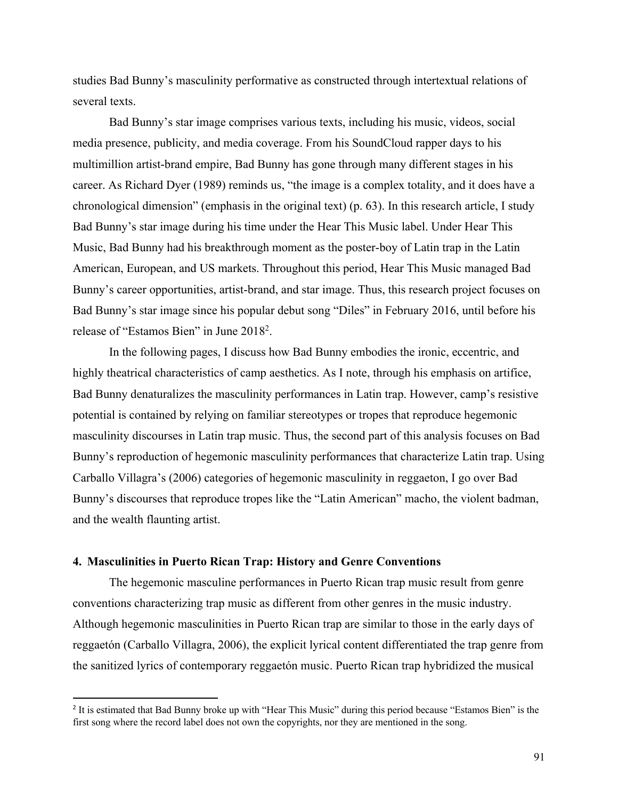studies Bad Bunny's masculinity performative as constructed through intertextual relations of several texts.

Bad Bunny's star image comprises various texts, including his music, videos, social media presence, publicity, and media coverage. From his SoundCloud rapper days to his multimillion artist-brand empire, Bad Bunny has gone through many different stages in his career. As Richard Dyer (1989) reminds us, "the image is a complex totality, and it does have a chronological dimension" (emphasis in the original text) (p. 63). In this research article, I study Bad Bunny's star image during his time under the Hear This Music label. Under Hear This Music, Bad Bunny had his breakthrough moment as the poster-boy of Latin trap in the Latin American, European, and US markets. Throughout this period, Hear This Music managed Bad Bunny's career opportunities, artist-brand, and star image. Thus, this research project focuses on Bad Bunny's star image since his popular debut song "Diles" in February 2016, until before his release of "Estamos Bien" in June 20182.

In the following pages, I discuss how Bad Bunny embodies the ironic, eccentric, and highly theatrical characteristics of camp aesthetics. As I note, through his emphasis on artifice, Bad Bunny denaturalizes the masculinity performances in Latin trap. However, camp's resistive potential is contained by relying on familiar stereotypes or tropes that reproduce hegemonic masculinity discourses in Latin trap music. Thus, the second part of this analysis focuses on Bad Bunny's reproduction of hegemonic masculinity performances that characterize Latin trap. Using Carballo Villagra's (2006) categories of hegemonic masculinity in reggaeton, I go over Bad Bunny's discourses that reproduce tropes like the "Latin American" macho, the violent badman, and the wealth flaunting artist.

## **4. Masculinities in Puerto Rican Trap: History and Genre Conventions**

The hegemonic masculine performances in Puerto Rican trap music result from genre conventions characterizing trap music as different from other genres in the music industry. Although hegemonic masculinities in Puerto Rican trap are similar to those in the early days of reggaetón (Carballo Villagra, 2006), the explicit lyrical content differentiated the trap genre from the sanitized lyrics of contemporary reggaetón music. Puerto Rican trap hybridized the musical

<sup>&</sup>lt;sup>2</sup> It is estimated that Bad Bunny broke up with "Hear This Music" during this period because "Estamos Bien" is the first song where the record label does not own the copyrights, nor they are mentioned in the song.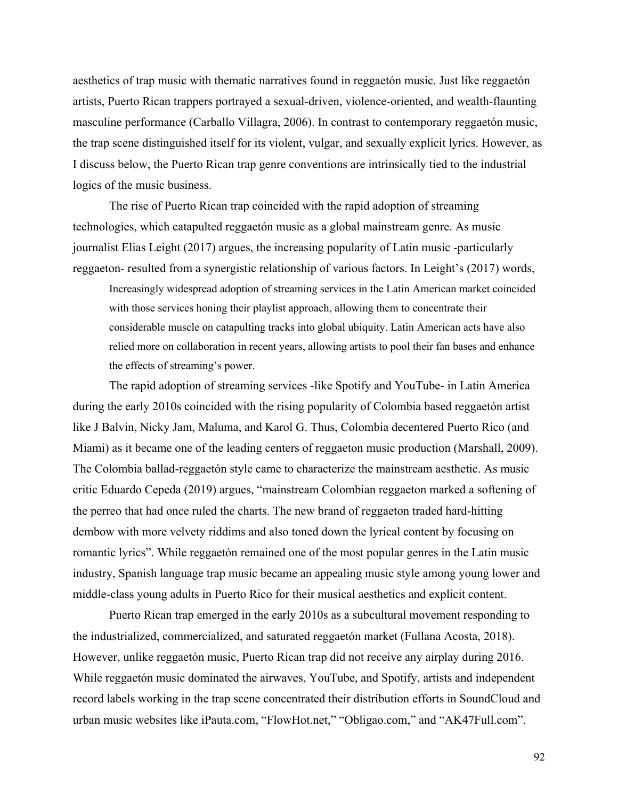aesthetics of trap music with thematic narratives found in reggaetón music. Just like reggaetón artists, Puerto Rican trappers portrayed a sexual-driven, violence-oriented, and wealth-flaunting masculine performance (Carballo Villagra, 2006). In contrast to contemporary reggaetón music, the trap scene distinguished itself for its violent, vulgar, and sexually explicit lyrics. However, as I discuss below, the Puerto Rican trap genre conventions are intrinsically tied to the industrial logics of the music business.

The rise of Puerto Rican trap coincided with the rapid adoption of streaming technologies, which catapulted reggaetón music as a global mainstream genre. As music journalist Elias Leight (2017) argues, the increasing popularity of Latin music -particularly reggaeton- resulted from a synergistic relationship of various factors. In Leight's (2017) words,

Increasingly widespread adoption of streaming services in the Latin American market coincided with those services honing their playlist approach, allowing them to concentrate their considerable muscle on catapulting tracks into global ubiquity. Latin American acts have also relied more on collaboration in recent years, allowing artists to pool their fan bases and enhance the effects of streaming's power.

The rapid adoption of streaming services -like Spotify and YouTube- in Latin America during the early 2010s coincided with the rising popularity of Colombia based reggaetón artist like J Balvin, Nicky Jam, Maluma, and Karol G. Thus, Colombia decentered Puerto Rico (and Miami) as it became one of the leading centers of reggaeton music production (Marshall, 2009). The Colombia ballad-reggaetón style came to characterize the mainstream aesthetic. As music critic Eduardo Cepeda (2019) argues, "mainstream Colombian reggaeton marked a softening of the perreo that had once ruled the charts. The new brand of reggaeton traded hard-hitting dembow with more velvety riddims and also toned down the lyrical content by focusing on romantic lyrics". While reggaetón remained one of the most popular genres in the Latin music industry, Spanish language trap music became an appealing music style among young lower and middle-class young adults in Puerto Rico for their musical aesthetics and explicit content.

Puerto Rican trap emerged in the early 2010s as a subcultural movement responding to the industrialized, commercialized, and saturated reggaetón market (Fullana Acosta, 2018). However, unlike reggaetón music, Puerto Rican trap did not receive any airplay during 2016. While reggaetón music dominated the airwaves, YouTube, and Spotify, artists and independent record labels working in the trap scene concentrated their distribution efforts in SoundCloud and urban music websites like iPauta.com, "FlowHot.net," "Obligao.com," and "AK47Full.com".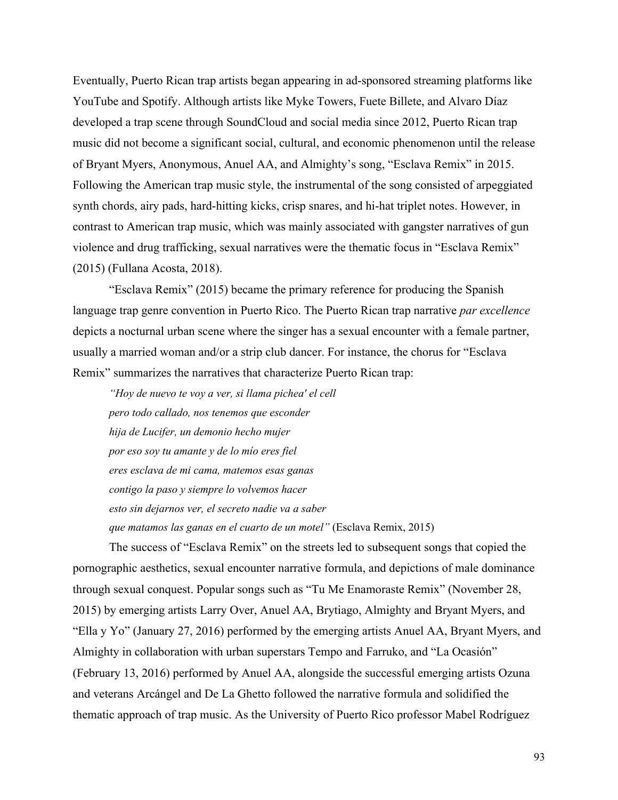Eventually, Puerto Rican trap artists began appearing in ad-sponsored streaming platforms like YouTube and Spotify. Although artists like Myke Towers, Fuete Billete, and Alvaro Díaz developed a trap scene through SoundCloud and social media since 2012, Puerto Rican trap music did not become a significant social, cultural, and economic phenomenon until the release of Bryant Myers, Anonymous, Anuel AA, and Almighty's song, "Esclava Remix" in 2015. Following the American trap music style, the instrumental of the song consisted of arpeggiated synth chords, airy pads, hard-hitting kicks, crisp snares, and hi-hat triplet notes. However, in contrast to American trap music, which was mainly associated with gangster narratives of gun violence and drug trafficking, sexual narratives were the thematic focus in "Esclava Remix" (2015) (Fullana Acosta, 2018).

"Esclava Remix" (2015) became the primary reference for producing the Spanish language trap genre convention in Puerto Rico. The Puerto Rican trap narrative *par excellence* depicts a nocturnal urban scene where the singer has a sexual encounter with a female partner, usually a married woman and/or a strip club dancer. For instance, the chorus for "Esclava Remix" summarizes the narratives that characterize Puerto Rican trap:

*"Hoy de nuevo te voy a ver, si llama pichea' el cell pero todo callado, nos tenemos que esconder hija de Lucifer, un demonio hecho mujer por eso soy tu amante y de lo mío eres fiel eres esclava de mi cama, matemos esas ganas contigo la paso y siempre lo volvemos hacer esto sin dejarnos ver, el secreto nadie va a saber que matamos las ganas en el cuarto de un motel"* (Esclava Remix, 2015)

The success of "Esclava Remix" on the streets led to subsequent songs that copied the pornographic aesthetics, sexual encounter narrative formula, and depictions of male dominance through sexual conquest. Popular songs such as "Tu Me Enamoraste Remix" (November 28, 2015) by emerging artists Larry Over, Anuel AA, Brytiago, Almighty and Bryant Myers, and "Ella y Yo" (January 27, 2016) performed by the emerging artists Anuel AA, Bryant Myers, and Almighty in collaboration with urban superstars Tempo and Farruko, and "La Ocasión" (February 13, 2016) performed by Anuel AA, alongside the successful emerging artists Ozuna and veterans Arcángel and De La Ghetto followed the narrative formula and solidified the thematic approach of trap music. As the University of Puerto Rico professor Mabel Rodríguez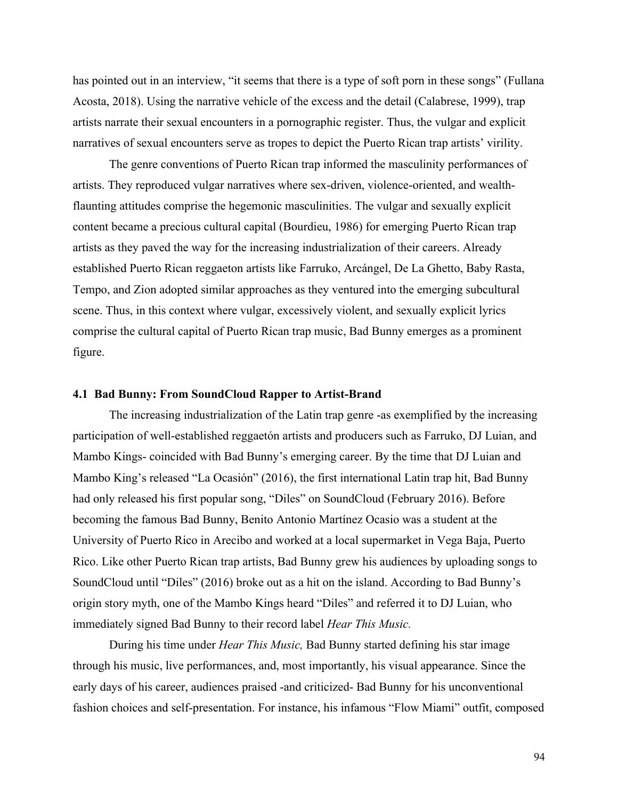has pointed out in an interview, "it seems that there is a type of soft porn in these songs" (Fullana Acosta, 2018). Using the narrative vehicle of the excess and the detail (Calabrese, 1999), trap artists narrate their sexual encounters in a pornographic register. Thus, the vulgar and explicit narratives of sexual encounters serve as tropes to depict the Puerto Rican trap artists' virility.

The genre conventions of Puerto Rican trap informed the masculinity performances of artists. They reproduced vulgar narratives where sex-driven, violence-oriented, and wealthflaunting attitudes comprise the hegemonic masculinities. The vulgar and sexually explicit content became a precious cultural capital (Bourdieu, 1986) for emerging Puerto Rican trap artists as they paved the way for the increasing industrialization of their careers. Already established Puerto Rican reggaeton artists like Farruko, Arcángel, De La Ghetto, Baby Rasta, Tempo, and Zion adopted similar approaches as they ventured into the emerging subcultural scene. Thus, in this context where vulgar, excessively violent, and sexually explicit lyrics comprise the cultural capital of Puerto Rican trap music, Bad Bunny emerges as a prominent figure.

## **4.1 Bad Bunny: From SoundCloud Rapper to Artist-Brand**

The increasing industrialization of the Latin trap genre -as exemplified by the increasing participation of well-established reggaetón artists and producers such as Farruko, DJ Luian, and Mambo Kings- coincided with Bad Bunny's emerging career. By the time that DJ Luian and Mambo King's released "La Ocasión" (2016), the first international Latin trap hit, Bad Bunny had only released his first popular song, "Diles" on SoundCloud (February 2016). Before becoming the famous Bad Bunny, Benito Antonio Martínez Ocasio was a student at the University of Puerto Rico in Arecibo and worked at a local supermarket in Vega Baja, Puerto Rico. Like other Puerto Rican trap artists, Bad Bunny grew his audiences by uploading songs to SoundCloud until "Diles" (2016) broke out as a hit on the island. According to Bad Bunny's origin story myth, one of the Mambo Kings heard "Diles" and referred it to DJ Luian, who immediately signed Bad Bunny to their record label *Hear This Music.* 

During his time under *Hear This Music,* Bad Bunny started defining his star image through his music, live performances, and, most importantly, his visual appearance. Since the early days of his career, audiences praised -and criticized- Bad Bunny for his unconventional fashion choices and self-presentation. For instance, his infamous "Flow Miami" outfit, composed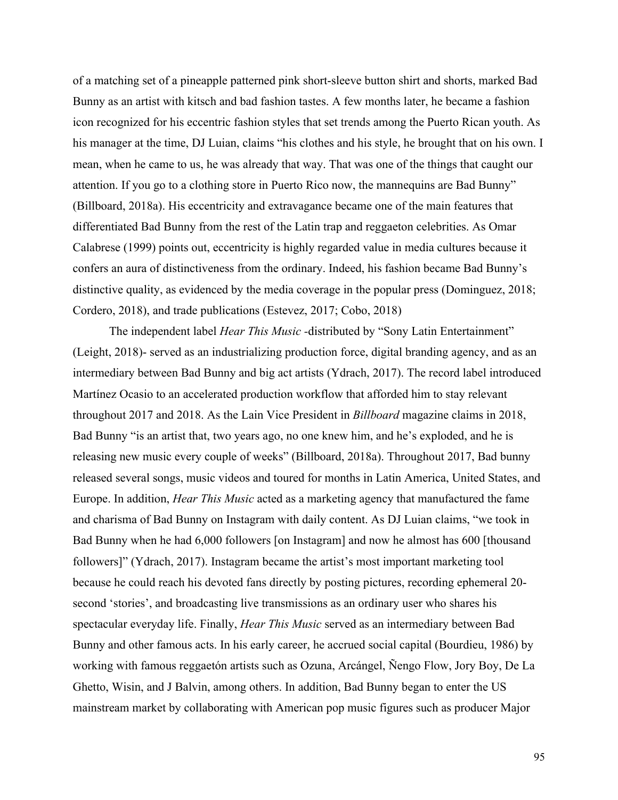of a matching set of a pineapple patterned pink short-sleeve button shirt and shorts, marked Bad Bunny as an artist with kitsch and bad fashion tastes. A few months later, he became a fashion icon recognized for his eccentric fashion styles that set trends among the Puerto Rican youth. As his manager at the time, DJ Luian, claims "his clothes and his style, he brought that on his own. I mean, when he came to us, he was already that way. That was one of the things that caught our attention. If you go to a clothing store in Puerto Rico now, the mannequins are Bad Bunny" (Billboard, 2018a). His eccentricity and extravagance became one of the main features that differentiated Bad Bunny from the rest of the Latin trap and reggaeton celebrities. As Omar Calabrese (1999) points out, eccentricity is highly regarded value in media cultures because it confers an aura of distinctiveness from the ordinary. Indeed, his fashion became Bad Bunny's distinctive quality, as evidenced by the media coverage in the popular press (Dominguez, 2018; Cordero, 2018), and trade publications (Estevez, 2017; Cobo, 2018)

The independent label *Hear This Music -*distributed by "Sony Latin Entertainment" (Leight, 2018)- served as an industrializing production force, digital branding agency, and as an intermediary between Bad Bunny and big act artists (Ydrach, 2017). The record label introduced Martínez Ocasio to an accelerated production workflow that afforded him to stay relevant throughout 2017 and 2018. As the Lain Vice President in *Billboard* magazine claims in 2018, Bad Bunny "is an artist that, two years ago, no one knew him, and he's exploded, and he is releasing new music every couple of weeks" (Billboard, 2018a). Throughout 2017, Bad bunny released several songs, music videos and toured for months in Latin America, United States, and Europe. In addition, *Hear This Music* acted as a marketing agency that manufactured the fame and charisma of Bad Bunny on Instagram with daily content. As DJ Luian claims, "we took in Bad Bunny when he had 6,000 followers [on Instagram] and now he almost has 600 [thousand followers]" (Ydrach, 2017). Instagram became the artist's most important marketing tool because he could reach his devoted fans directly by posting pictures, recording ephemeral 20 second 'stories', and broadcasting live transmissions as an ordinary user who shares his spectacular everyday life. Finally, *Hear This Music* served as an intermediary between Bad Bunny and other famous acts. In his early career, he accrued social capital (Bourdieu, 1986) by working with famous reggaetón artists such as Ozuna, Arcángel, Ñengo Flow, Jory Boy, De La Ghetto, Wisin, and J Balvin, among others. In addition, Bad Bunny began to enter the US mainstream market by collaborating with American pop music figures such as producer Major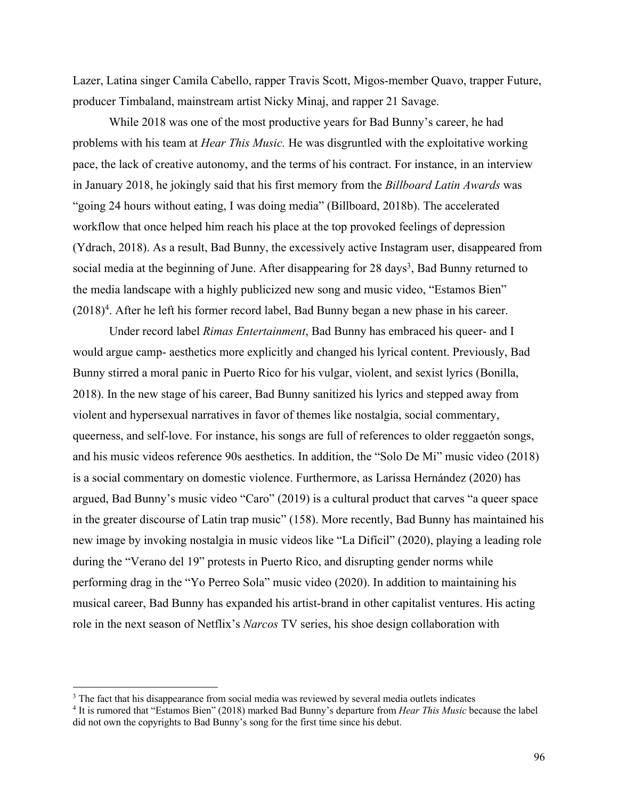Lazer, Latina singer Camila Cabello, rapper Travis Scott, Migos-member Quavo, trapper Future, producer Timbaland, mainstream artist Nicky Minaj, and rapper 21 Savage.

While 2018 was one of the most productive years for Bad Bunny's career, he had problems with his team at *Hear This Music.* He was disgruntled with the exploitative working pace, the lack of creative autonomy, and the terms of his contract. For instance, in an interview in January 2018, he jokingly said that his first memory from the *Billboard Latin Awards* was "going 24 hours without eating, I was doing media" (Billboard, 2018b). The accelerated workflow that once helped him reach his place at the top provoked feelings of depression (Ydrach, 2018). As a result, Bad Bunny, the excessively active Instagram user, disappeared from social media at the beginning of June. After disappearing for 28 days<sup>3</sup>, Bad Bunny returned to the media landscape with a highly publicized new song and music video, "Estamos Bien"  $(2018)^4$ . After he left his former record label, Bad Bunny began a new phase in his career.

Under record label *Rimas Entertainment*, Bad Bunny has embraced his queer- and I would argue camp- aesthetics more explicitly and changed his lyrical content. Previously, Bad Bunny stirred a moral panic in Puerto Rico for his vulgar, violent, and sexist lyrics (Bonilla, 2018). In the new stage of his career, Bad Bunny sanitized his lyrics and stepped away from violent and hypersexual narratives in favor of themes like nostalgia, social commentary, queerness, and self-love. For instance, his songs are full of references to older reggaetón songs, and his music videos reference 90s aesthetics. In addition, the "Solo De Mi" music video (2018) is a social commentary on domestic violence. Furthermore, as Larissa Hernández (2020) has argued, Bad Bunny's music video "Caro" (2019) is a cultural product that carves "a queer space in the greater discourse of Latin trap music" (158). More recently, Bad Bunny has maintained his new image by invoking nostalgia in music videos like "La Difícil" (2020), playing a leading role during the "Verano del 19" protests in Puerto Rico, and disrupting gender norms while performing drag in the "Yo Perreo Sola" music video (2020). In addition to maintaining his musical career, Bad Bunny has expanded his artist-brand in other capitalist ventures. His acting role in the next season of Netflix's *Narcos* TV series, his shoe design collaboration with

<sup>&</sup>lt;sup>3</sup> The fact that his disappearance from social media was reviewed by several media outlets indicates <sup>4</sup> It is rumored that "Estamos Bien" (2018) marked Bad Bunny's departure from *Hear This Music* because the label did not own the copyrights to Bad Bunny's song for the first time since his debut.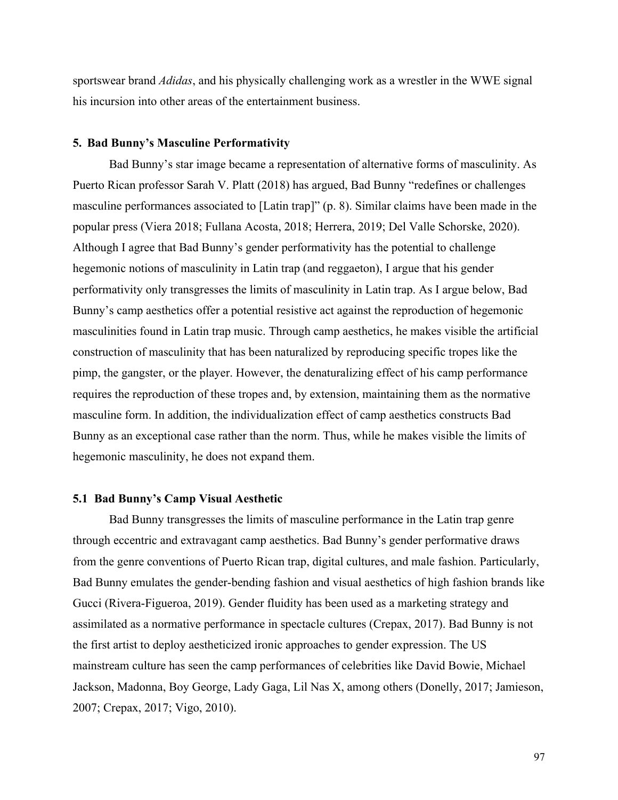sportswear brand *Adidas*, and his physically challenging work as a wrestler in the WWE signal his incursion into other areas of the entertainment business.

#### **5. Bad Bunny's Masculine Performativity**

Bad Bunny's star image became a representation of alternative forms of masculinity. As Puerto Rican professor Sarah V. Platt (2018) has argued, Bad Bunny "redefines or challenges masculine performances associated to [Latin trap]" (p. 8). Similar claims have been made in the popular press (Viera 2018; Fullana Acosta, 2018; Herrera, 2019; Del Valle Schorske, 2020). Although I agree that Bad Bunny's gender performativity has the potential to challenge hegemonic notions of masculinity in Latin trap (and reggaeton), I argue that his gender performativity only transgresses the limits of masculinity in Latin trap. As I argue below, Bad Bunny's camp aesthetics offer a potential resistive act against the reproduction of hegemonic masculinities found in Latin trap music. Through camp aesthetics, he makes visible the artificial construction of masculinity that has been naturalized by reproducing specific tropes like the pimp, the gangster, or the player. However, the denaturalizing effect of his camp performance requires the reproduction of these tropes and, by extension, maintaining them as the normative masculine form. In addition, the individualization effect of camp aesthetics constructs Bad Bunny as an exceptional case rather than the norm. Thus, while he makes visible the limits of hegemonic masculinity, he does not expand them.

#### **5.1 Bad Bunny's Camp Visual Aesthetic**

Bad Bunny transgresses the limits of masculine performance in the Latin trap genre through eccentric and extravagant camp aesthetics. Bad Bunny's gender performative draws from the genre conventions of Puerto Rican trap, digital cultures, and male fashion. Particularly, Bad Bunny emulates the gender-bending fashion and visual aesthetics of high fashion brands like Gucci (Rivera-Figueroa, 2019). Gender fluidity has been used as a marketing strategy and assimilated as a normative performance in spectacle cultures (Crepax, 2017). Bad Bunny is not the first artist to deploy aestheticized ironic approaches to gender expression. The US mainstream culture has seen the camp performances of celebrities like David Bowie, Michael Jackson, Madonna, Boy George, Lady Gaga, Lil Nas X, among others (Donelly, 2017; Jamieson, 2007; Crepax, 2017; Vigo, 2010).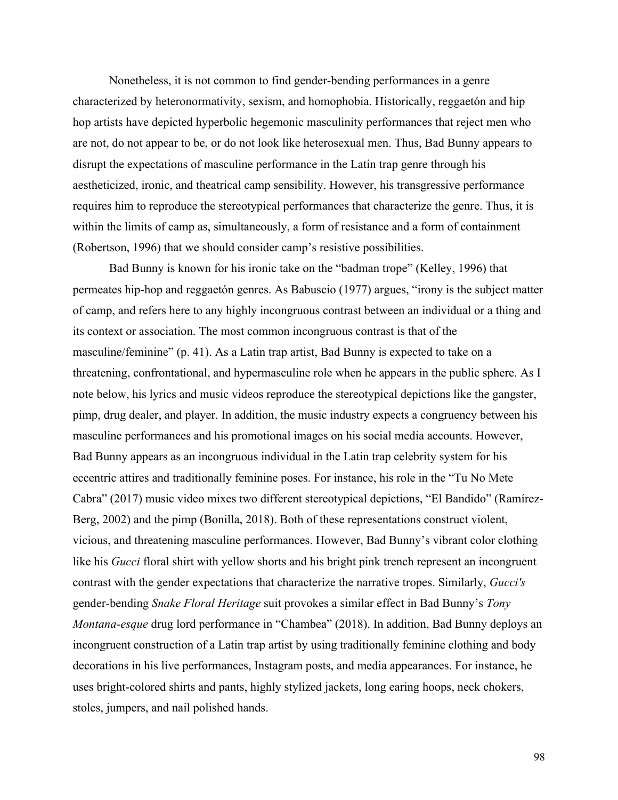Nonetheless, it is not common to find gender-bending performances in a genre characterized by heteronormativity, sexism, and homophobia. Historically, reggaetón and hip hop artists have depicted hyperbolic hegemonic masculinity performances that reject men who are not, do not appear to be, or do not look like heterosexual men. Thus, Bad Bunny appears to disrupt the expectations of masculine performance in the Latin trap genre through his aestheticized, ironic, and theatrical camp sensibility. However, his transgressive performance requires him to reproduce the stereotypical performances that characterize the genre. Thus, it is within the limits of camp as, simultaneously, a form of resistance and a form of containment (Robertson, 1996) that we should consider camp's resistive possibilities.

Bad Bunny is known for his ironic take on the "badman trope" (Kelley, 1996) that permeates hip-hop and reggaetón genres. As Babuscio (1977) argues, "irony is the subject matter of camp, and refers here to any highly incongruous contrast between an individual or a thing and its context or association. The most common incongruous contrast is that of the masculine/feminine" (p. 41). As a Latin trap artist, Bad Bunny is expected to take on a threatening, confrontational, and hypermasculine role when he appears in the public sphere. As I note below, his lyrics and music videos reproduce the stereotypical depictions like the gangster, pimp, drug dealer, and player. In addition, the music industry expects a congruency between his masculine performances and his promotional images on his social media accounts. However, Bad Bunny appears as an incongruous individual in the Latin trap celebrity system for his eccentric attires and traditionally feminine poses. For instance, his role in the "Tu No Mete Cabra" (2017) music video mixes two different stereotypical depictions, "El Bandido" (Ramírez-Berg, 2002) and the pimp (Bonilla, 2018). Both of these representations construct violent, vicious, and threatening masculine performances. However, Bad Bunny's vibrant color clothing like his *Gucci* floral shirt with yellow shorts and his bright pink trench represent an incongruent contrast with the gender expectations that characterize the narrative tropes. Similarly, *Gucci's*  gender-bending *Snake Floral Heritage* suit provokes a similar effect in Bad Bunny's *Tony Montana-esque* drug lord performance in "Chambea" (2018). In addition, Bad Bunny deploys an incongruent construction of a Latin trap artist by using traditionally feminine clothing and body decorations in his live performances, Instagram posts, and media appearances. For instance, he uses bright-colored shirts and pants, highly stylized jackets, long earing hoops, neck chokers, stoles, jumpers, and nail polished hands.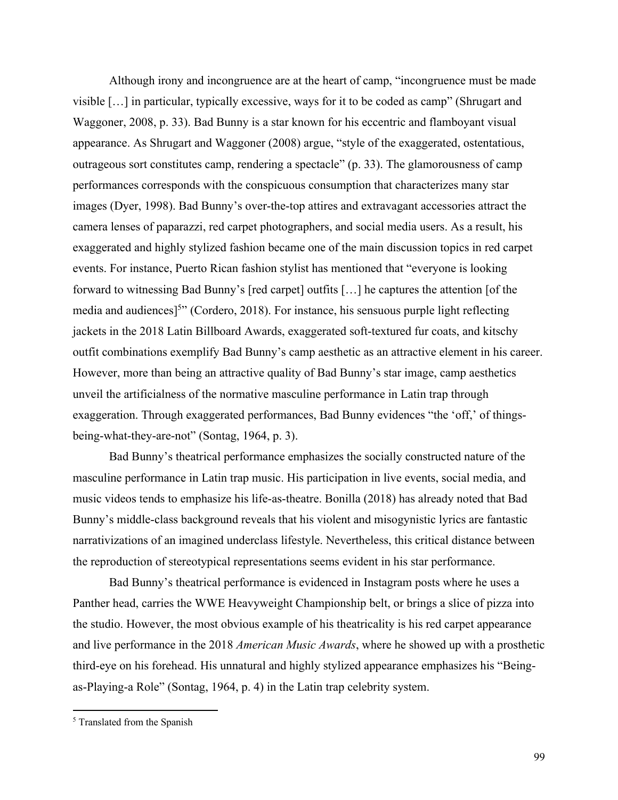Although irony and incongruence are at the heart of camp, "incongruence must be made visible […] in particular, typically excessive, ways for it to be coded as camp" (Shrugart and Waggoner, 2008, p. 33). Bad Bunny is a star known for his eccentric and flamboyant visual appearance. As Shrugart and Waggoner (2008) argue, "style of the exaggerated, ostentatious, outrageous sort constitutes camp, rendering a spectacle" (p. 33). The glamorousness of camp performances corresponds with the conspicuous consumption that characterizes many star images (Dyer, 1998). Bad Bunny's over-the-top attires and extravagant accessories attract the camera lenses of paparazzi, red carpet photographers, and social media users. As a result, his exaggerated and highly stylized fashion became one of the main discussion topics in red carpet events. For instance, Puerto Rican fashion stylist has mentioned that "everyone is looking forward to witnessing Bad Bunny's [red carpet] outfits […] he captures the attention [of the media and audiences]<sup>5"</sup> (Cordero, 2018). For instance, his sensuous purple light reflecting jackets in the 2018 Latin Billboard Awards, exaggerated soft-textured fur coats, and kitschy outfit combinations exemplify Bad Bunny's camp aesthetic as an attractive element in his career. However, more than being an attractive quality of Bad Bunny's star image, camp aesthetics unveil the artificialness of the normative masculine performance in Latin trap through exaggeration. Through exaggerated performances, Bad Bunny evidences "the 'off,' of thingsbeing-what-they-are-not" (Sontag, 1964, p. 3).

Bad Bunny's theatrical performance emphasizes the socially constructed nature of the masculine performance in Latin trap music. His participation in live events, social media, and music videos tends to emphasize his life-as-theatre. Bonilla (2018) has already noted that Bad Bunny's middle-class background reveals that his violent and misogynistic lyrics are fantastic narrativizations of an imagined underclass lifestyle. Nevertheless, this critical distance between the reproduction of stereotypical representations seems evident in his star performance.

Bad Bunny's theatrical performance is evidenced in Instagram posts where he uses a Panther head, carries the WWE Heavyweight Championship belt, or brings a slice of pizza into the studio. However, the most obvious example of his theatricality is his red carpet appearance and live performance in the 2018 *American Music Awards*, where he showed up with a prosthetic third-eye on his forehead. His unnatural and highly stylized appearance emphasizes his "Beingas-Playing-a Role" (Sontag, 1964, p. 4) in the Latin trap celebrity system.

<sup>&</sup>lt;sup>5</sup> Translated from the Spanish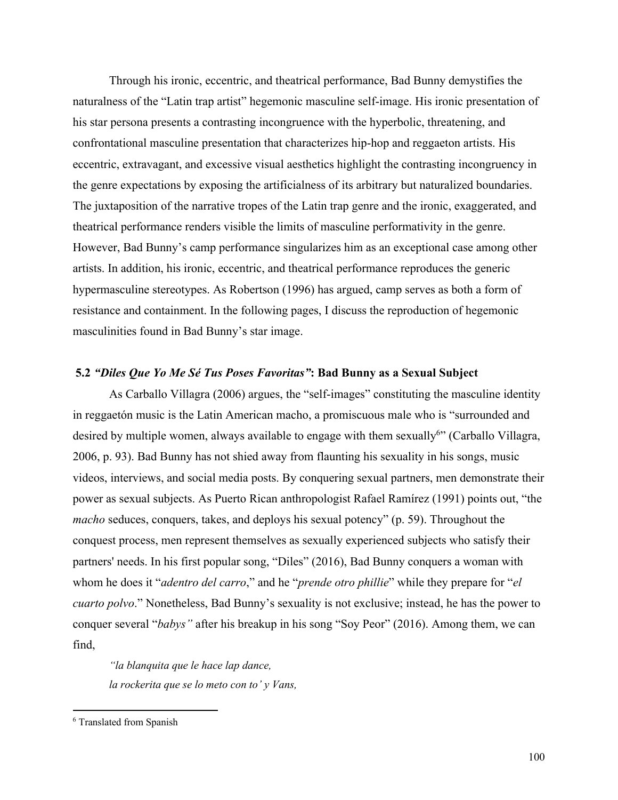Through his ironic, eccentric, and theatrical performance, Bad Bunny demystifies the naturalness of the "Latin trap artist" hegemonic masculine self-image. His ironic presentation of his star persona presents a contrasting incongruence with the hyperbolic, threatening, and confrontational masculine presentation that characterizes hip-hop and reggaeton artists. His eccentric, extravagant, and excessive visual aesthetics highlight the contrasting incongruency in the genre expectations by exposing the artificialness of its arbitrary but naturalized boundaries. The juxtaposition of the narrative tropes of the Latin trap genre and the ironic, exaggerated, and theatrical performance renders visible the limits of masculine performativity in the genre. However, Bad Bunny's camp performance singularizes him as an exceptional case among other artists. In addition, his ironic, eccentric, and theatrical performance reproduces the generic hypermasculine stereotypes. As Robertson (1996) has argued, camp serves as both a form of resistance and containment. In the following pages, I discuss the reproduction of hegemonic masculinities found in Bad Bunny's star image.

## **5.2** *"Diles Que Yo Me Sé Tus Poses Favoritas"***: Bad Bunny as a Sexual Subject**

As Carballo Villagra (2006) argues, the "self-images" constituting the masculine identity in reggaetón music is the Latin American macho, a promiscuous male who is "surrounded and desired by multiple women, always available to engage with them sexually<sup>6</sup>" (Carballo Villagra, 2006, p. 93). Bad Bunny has not shied away from flaunting his sexuality in his songs, music videos, interviews, and social media posts. By conquering sexual partners, men demonstrate their power as sexual subjects. As Puerto Rican anthropologist Rafael Ramírez (1991) points out, "the *macho* seduces, conquers, takes, and deploys his sexual potency" (p. 59). Throughout the conquest process, men represent themselves as sexually experienced subjects who satisfy their partners' needs. In his first popular song, "Diles" (2016), Bad Bunny conquers a woman with whom he does it "*adentro del carro*," and he "*prende otro phillie*" while they prepare for "*el cuarto polvo*." Nonetheless, Bad Bunny's sexuality is not exclusive; instead, he has the power to conquer several "*babys"* after his breakup in his song "Soy Peor" (2016). Among them, we can find,

*"la blanquita que le hace lap dance, la rockerita que se lo meto con to' y Vans,*

<sup>6</sup> Translated from Spanish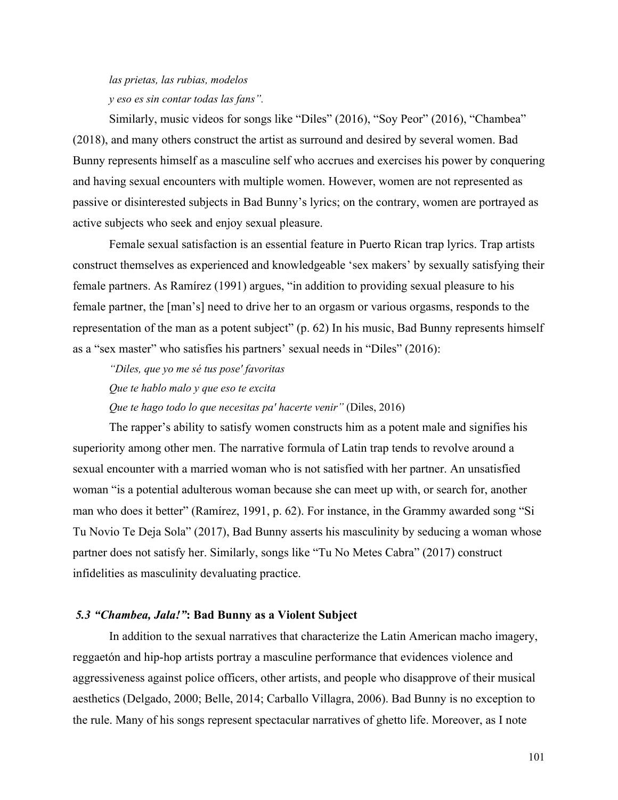# *las prietas, las rubias, modelos y eso es sin contar todas las fans".*

Similarly, music videos for songs like "Diles" (2016), "Soy Peor" (2016), "Chambea" (2018), and many others construct the artist as surround and desired by several women. Bad Bunny represents himself as a masculine self who accrues and exercises his power by conquering and having sexual encounters with multiple women. However, women are not represented as passive or disinterested subjects in Bad Bunny's lyrics; on the contrary, women are portrayed as active subjects who seek and enjoy sexual pleasure.

Female sexual satisfaction is an essential feature in Puerto Rican trap lyrics. Trap artists construct themselves as experienced and knowledgeable 'sex makers' by sexually satisfying their female partners. As Ramírez (1991) argues, "in addition to providing sexual pleasure to his female partner, the [man's] need to drive her to an orgasm or various orgasms, responds to the representation of the man as a potent subject" (p. 62) In his music, Bad Bunny represents himself as a "sex master" who satisfies his partners' sexual needs in "Diles" (2016):

*"Diles, que yo me sé tus pose' favoritas Que te hablo malo y que eso te excita Que te hago todo lo que necesitas pa' hacerte venir"* (Diles, 2016)

The rapper's ability to satisfy women constructs him as a potent male and signifies his superiority among other men. The narrative formula of Latin trap tends to revolve around a sexual encounter with a married woman who is not satisfied with her partner. An unsatisfied woman "is a potential adulterous woman because she can meet up with, or search for, another man who does it better" (Ramírez, 1991, p. 62). For instance, in the Grammy awarded song "Si Tu Novio Te Deja Sola" (2017), Bad Bunny asserts his masculinity by seducing a woman whose partner does not satisfy her. Similarly, songs like "Tu No Metes Cabra" (2017) construct infidelities as masculinity devaluating practice.

## *5.3 "Chambea, Jala!"***: Bad Bunny as a Violent Subject**

In addition to the sexual narratives that characterize the Latin American macho imagery, reggaetón and hip-hop artists portray a masculine performance that evidences violence and aggressiveness against police officers, other artists, and people who disapprove of their musical aesthetics (Delgado, 2000; Belle, 2014; Carballo Villagra, 2006). Bad Bunny is no exception to the rule. Many of his songs represent spectacular narratives of ghetto life. Moreover, as I note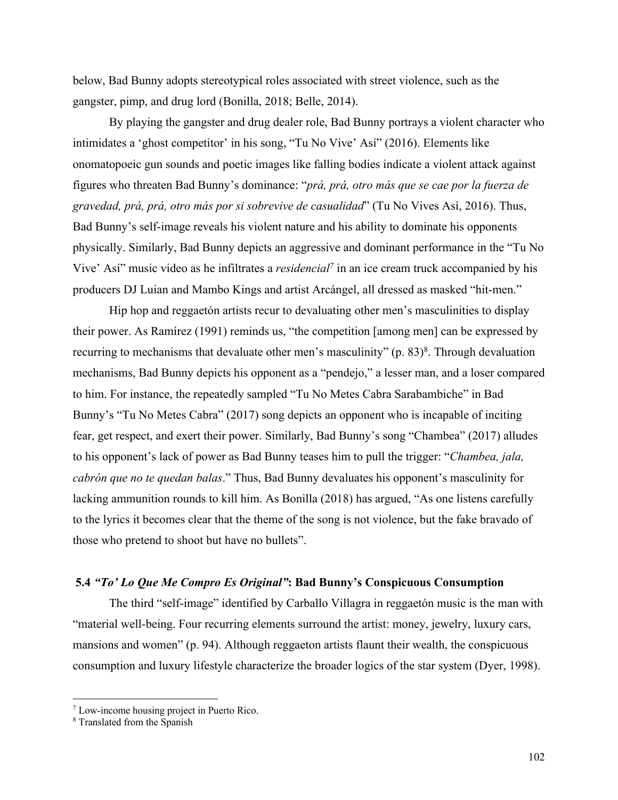below, Bad Bunny adopts stereotypical roles associated with street violence, such as the gangster, pimp, and drug lord (Bonilla, 2018; Belle, 2014).

By playing the gangster and drug dealer role, Bad Bunny portrays a violent character who intimidates a 'ghost competitor' in his song, "Tu No Vive' Así" (2016). Elements like onomatopoeic gun sounds and poetic images like falling bodies indicate a violent attack against figures who threaten Bad Bunny's dominance: "*prá, prá, otro más que se cae por la fuerza de gravedad, prá, prá, otro más por si sobrevive de casualidad*" (Tu No Vives Así, 2016). Thus, Bad Bunny's self-image reveals his violent nature and his ability to dominate his opponents physically. Similarly, Bad Bunny depicts an aggressive and dominant performance in the "Tu No Vive' Así" music video as he infiltrates a *residencial7* in an ice cream truck accompanied by his producers DJ Luian and Mambo Kings and artist Arcángel, all dressed as masked "hit-men."

Hip hop and reggaetón artists recur to devaluating other men's masculinities to display their power. As Ramírez (1991) reminds us, "the competition [among men] can be expressed by recurring to mechanisms that devaluate other men's masculinity" (p.  $83$ )<sup>8</sup>. Through devaluation mechanisms, Bad Bunny depicts his opponent as a "pendejo," a lesser man, and a loser compared to him. For instance, the repeatedly sampled "Tu No Metes Cabra Sarabambiche" in Bad Bunny's "Tu No Metes Cabra" (2017) song depicts an opponent who is incapable of inciting fear, get respect, and exert their power. Similarly, Bad Bunny's song "Chambea" (2017) alludes to his opponent's lack of power as Bad Bunny teases him to pull the trigger: "*Chambea, jala, cabrón que no te quedan balas*." Thus, Bad Bunny devaluates his opponent's masculinity for lacking ammunition rounds to kill him. As Bonilla (2018) has argued, "As one listens carefully to the lyrics it becomes clear that the theme of the song is not violence, but the fake bravado of those who pretend to shoot but have no bullets".

## **5.4** *"To' Lo Que Me Compro Es Original"***: Bad Bunny's Conspicuous Consumption**

The third "self-image" identified by Carballo Villagra in reggaetón music is the man with "material well-being. Four recurring elements surround the artist: money, jewelry, luxury cars, mansions and women" (p. 94). Although reggaeton artists flaunt their wealth, the conspicuous consumption and luxury lifestyle characterize the broader logics of the star system (Dyer, 1998).

<sup>7</sup> Low-income housing project in Puerto Rico. 8 Translated from the Spanish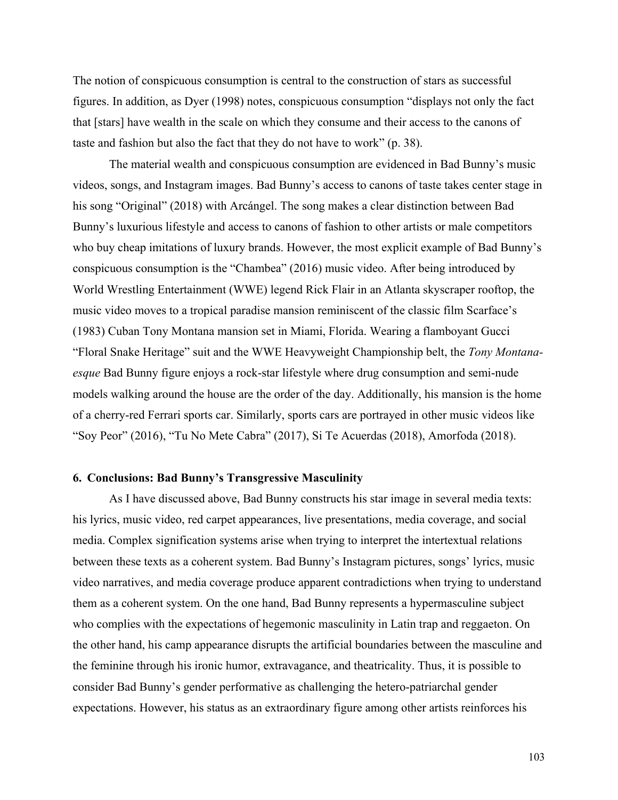The notion of conspicuous consumption is central to the construction of stars as successful figures. In addition, as Dyer (1998) notes, conspicuous consumption "displays not only the fact that [stars] have wealth in the scale on which they consume and their access to the canons of taste and fashion but also the fact that they do not have to work" (p. 38).

The material wealth and conspicuous consumption are evidenced in Bad Bunny's music videos, songs, and Instagram images. Bad Bunny's access to canons of taste takes center stage in his song "Original" (2018) with Arcángel. The song makes a clear distinction between Bad Bunny's luxurious lifestyle and access to canons of fashion to other artists or male competitors who buy cheap imitations of luxury brands. However, the most explicit example of Bad Bunny's conspicuous consumption is the "Chambea" (2016) music video. After being introduced by World Wrestling Entertainment (WWE) legend Rick Flair in an Atlanta skyscraper rooftop, the music video moves to a tropical paradise mansion reminiscent of the classic film Scarface's (1983) Cuban Tony Montana mansion set in Miami, Florida. Wearing a flamboyant Gucci "Floral Snake Heritage" suit and the WWE Heavyweight Championship belt, the *Tony Montanaesque* Bad Bunny figure enjoys a rock-star lifestyle where drug consumption and semi-nude models walking around the house are the order of the day. Additionally, his mansion is the home of a cherry-red Ferrari sports car. Similarly, sports cars are portrayed in other music videos like "Soy Peor" (2016), "Tu No Mete Cabra" (2017), Si Te Acuerdas (2018), Amorfoda (2018).

### **6. Conclusions: Bad Bunny's Transgressive Masculinity**

As I have discussed above, Bad Bunny constructs his star image in several media texts: his lyrics, music video, red carpet appearances, live presentations, media coverage, and social media. Complex signification systems arise when trying to interpret the intertextual relations between these texts as a coherent system. Bad Bunny's Instagram pictures, songs' lyrics, music video narratives, and media coverage produce apparent contradictions when trying to understand them as a coherent system. On the one hand, Bad Bunny represents a hypermasculine subject who complies with the expectations of hegemonic masculinity in Latin trap and reggaeton. On the other hand, his camp appearance disrupts the artificial boundaries between the masculine and the feminine through his ironic humor, extravagance, and theatricality. Thus, it is possible to consider Bad Bunny's gender performative as challenging the hetero-patriarchal gender expectations. However, his status as an extraordinary figure among other artists reinforces his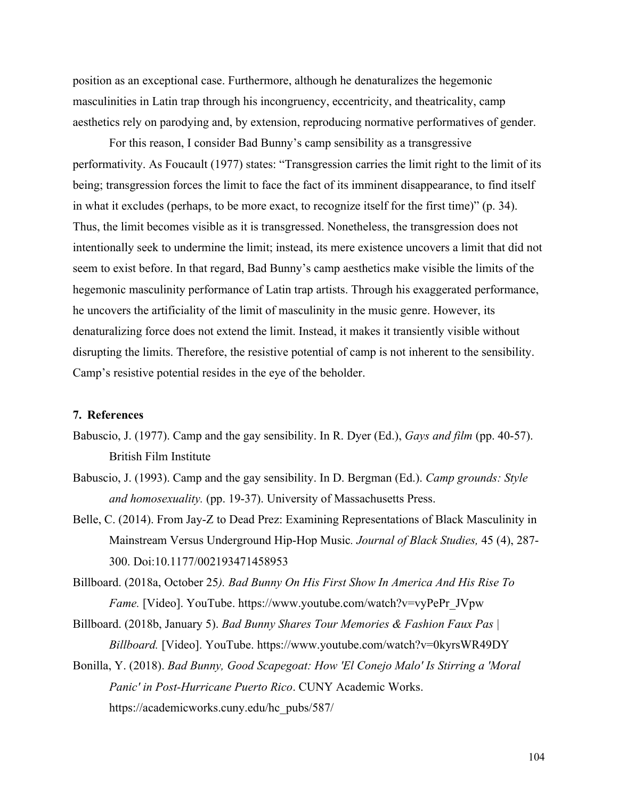position as an exceptional case. Furthermore, although he denaturalizes the hegemonic masculinities in Latin trap through his incongruency, eccentricity, and theatricality, camp aesthetics rely on parodying and, by extension, reproducing normative performatives of gender.

For this reason, I consider Bad Bunny's camp sensibility as a transgressive performativity. As Foucault (1977) states: "Transgression carries the limit right to the limit of its being; transgression forces the limit to face the fact of its imminent disappearance, to find itself in what it excludes (perhaps, to be more exact, to recognize itself for the first time)" (p. 34). Thus, the limit becomes visible as it is transgressed. Nonetheless, the transgression does not intentionally seek to undermine the limit; instead, its mere existence uncovers a limit that did not seem to exist before. In that regard, Bad Bunny's camp aesthetics make visible the limits of the hegemonic masculinity performance of Latin trap artists. Through his exaggerated performance, he uncovers the artificiality of the limit of masculinity in the music genre. However, its denaturalizing force does not extend the limit. Instead, it makes it transiently visible without disrupting the limits. Therefore, the resistive potential of camp is not inherent to the sensibility. Camp's resistive potential resides in the eye of the beholder.

## **7. References**

- Babuscio, J. (1977). Camp and the gay sensibility. In R. Dyer (Ed.), *Gays and film* (pp. 40-57). British Film Institute
- Babuscio, J. (1993). Camp and the gay sensibility. In D. Bergman (Ed.). *Camp grounds: Style and homosexuality.* (pp. 19-37). University of Massachusetts Press.
- Belle, C. (2014). From Jay-Z to Dead Prez: Examining Representations of Black Masculinity in Mainstream Versus Underground Hip-Hop Music*. Journal of Black Studies,* 45 (4), 287- 300. Doi:10.1177/002193471458953
- Billboard. (2018a, October 25*). Bad Bunny On His First Show In America And His Rise To Fame.* [Video]. YouTube. https://www.youtube.com/watch?v=vyPePr\_JVpw
- Billboard. (2018b, January 5). *Bad Bunny Shares Tour Memories & Fashion Faux Pas | Billboard.* [Video]. YouTube. https://www.youtube.com/watch?v=0kyrsWR49DY
- Bonilla, Y. (2018). *Bad Bunny, Good Scapegoat: How 'El Conejo Malo' Is Stirring a 'Moral Panic' in Post-Hurricane Puerto Rico*. CUNY Academic Works. https://academicworks.cuny.edu/hc\_pubs/587/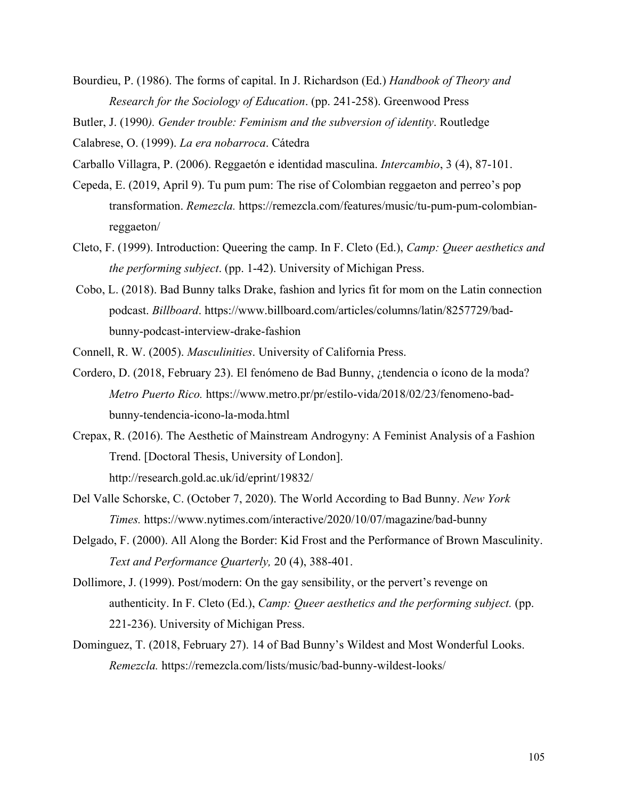Bourdieu, P. (1986). The forms of capital. In J. Richardson (Ed.) *Handbook of Theory and Research for the Sociology of Education*. (pp. 241-258). Greenwood Press

Butler, J. (1990*). Gender trouble: Feminism and the subversion of identity*. Routledge

Calabrese, O. (1999). *La era nobarroca*. Cátedra

- Carballo Villagra, P. (2006). Reggaetón e identidad masculina. *Intercambio*, 3 (4), 87-101.
- Cepeda, E. (2019, April 9). Tu pum pum: The rise of Colombian reggaeton and perreo's pop transformation. *Remezcla.* https://remezcla.com/features/music/tu-pum-pum-colombianreggaeton/
- Cleto, F. (1999). Introduction: Queering the camp. In F. Cleto (Ed.), *Camp: Queer aesthetics and the performing subject*. (pp. 1-42). University of Michigan Press.
- Cobo, L. (2018). Bad Bunny talks Drake, fashion and lyrics fit for mom on the Latin connection podcast. *Billboard*. https://www.billboard.com/articles/columns/latin/8257729/badbunny-podcast-interview-drake-fashion
- Connell, R. W. (2005). *Masculinities*. University of California Press.
- Cordero, D. (2018, February 23). El fenómeno de Bad Bunny, ¿tendencia o ícono de la moda? *Metro Puerto Rico.* https://www.metro.pr/pr/estilo-vida/2018/02/23/fenomeno-badbunny-tendencia-icono-la-moda.html
- Crepax, R. (2016). The Aesthetic of Mainstream Androgyny: A Feminist Analysis of a Fashion Trend. [Doctoral Thesis, University of London]. http://research.gold.ac.uk/id/eprint/19832/
- Del Valle Schorske, C. (October 7, 2020). The World According to Bad Bunny. *New York Times.* https://www.nytimes.com/interactive/2020/10/07/magazine/bad-bunny
- Delgado, F. (2000). All Along the Border: Kid Frost and the Performance of Brown Masculinity. *Text and Performance Quarterly,* 20 (4), 388-401.
- Dollimore, J. (1999). Post/modern: On the gay sensibility, or the pervert's revenge on authenticity. In F. Cleto (Ed.), *Camp: Queer aesthetics and the performing subject.* (pp. 221-236). University of Michigan Press.
- Dominguez, T. (2018, February 27). 14 of Bad Bunny's Wildest and Most Wonderful Looks. *Remezcla.* https://remezcla.com/lists/music/bad-bunny-wildest-looks/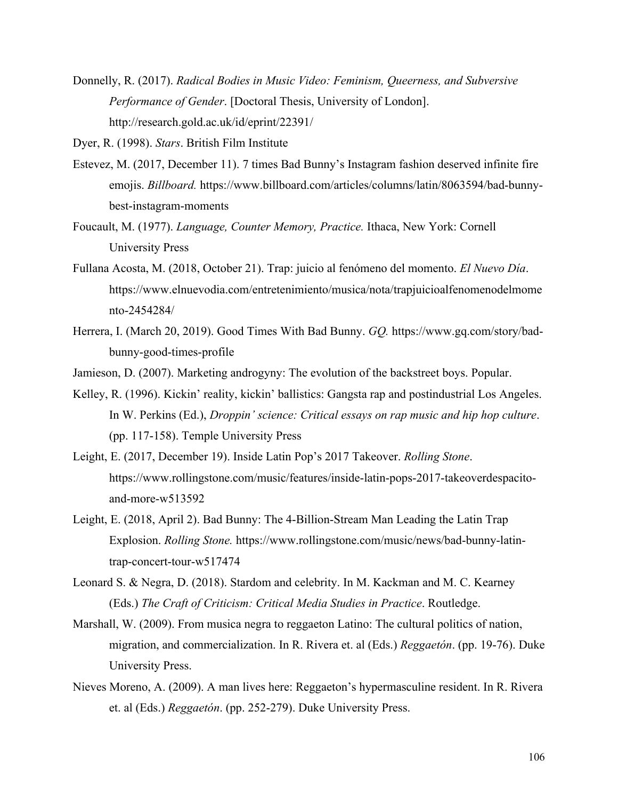Donnelly, R. (2017). *Radical Bodies in Music Video: Feminism, Queerness, and Subversive Performance of Gender*. [Doctoral Thesis, University of London]. http://research.gold.ac.uk/id/eprint/22391/

Dyer, R. (1998). *Stars*. British Film Institute

- Estevez, M. (2017, December 11). 7 times Bad Bunny's Instagram fashion deserved infinite fire emojis. *Billboard.* https://www.billboard.com/articles/columns/latin/8063594/bad-bunnybest-instagram-moments
- Foucault, M. (1977). *Language, Counter Memory, Practice.* Ithaca, New York: Cornell University Press
- Fullana Acosta, M. (2018, October 21). Trap: juicio al fenómeno del momento. *El Nuevo Día*. https://www.elnuevodia.com/entretenimiento/musica/nota/trapjuicioalfenomenodelmome nto-2454284/
- Herrera, I. (March 20, 2019). Good Times With Bad Bunny. *GQ.* https://www.gq.com/story/badbunny-good-times-profile
- Jamieson, D. (2007). Marketing androgyny: The evolution of the backstreet boys. Popular.
- Kelley, R. (1996). Kickin' reality, kickin' ballistics: Gangsta rap and postindustrial Los Angeles. In W. Perkins (Ed.), *Droppin' science: Critical essays on rap music and hip hop culture*. (pp. 117-158). Temple University Press
- Leight, E. (2017, December 19). Inside Latin Pop's 2017 Takeover. *Rolling Stone*. https://www.rollingstone.com/music/features/inside-latin-pops-2017-takeoverdespacitoand-more-w513592
- Leight, E. (2018, April 2). Bad Bunny: The 4-Billion-Stream Man Leading the Latin Trap Explosion. *Rolling Stone.* https://www.rollingstone.com/music/news/bad-bunny-latintrap-concert-tour-w517474
- Leonard S. & Negra, D. (2018). Stardom and celebrity. In M. Kackman and M. C. Kearney (Eds.) *The Craft of Criticism: Critical Media Studies in Practice*. Routledge.
- Marshall, W. (2009). From musica negra to reggaeton Latino: The cultural politics of nation, migration, and commercialization. In R. Rivera et. al (Eds.) *Reggaetón*. (pp. 19-76). Duke University Press.
- Nieves Moreno, A. (2009). A man lives here: Reggaeton's hypermasculine resident. In R. Rivera et. al (Eds.) *Reggaetón*. (pp. 252-279). Duke University Press.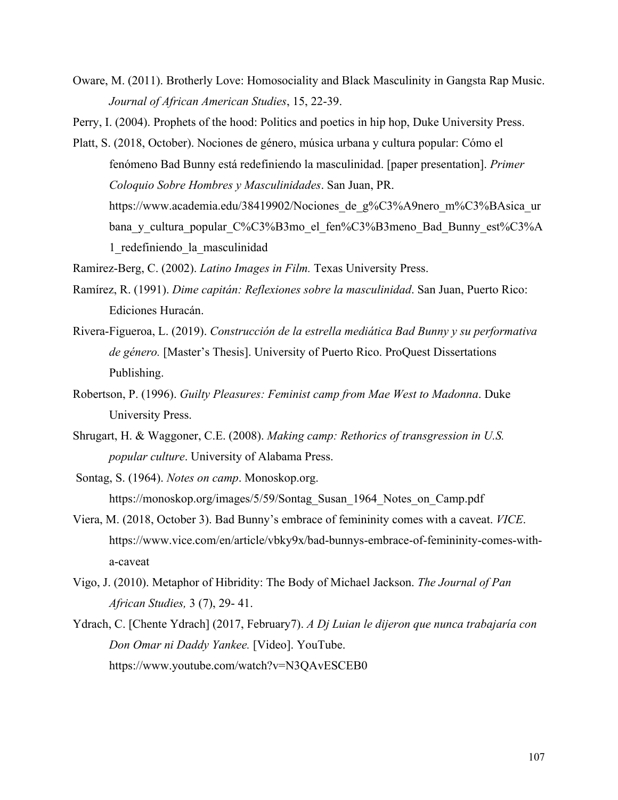Oware, M. (2011). Brotherly Love: Homosociality and Black Masculinity in Gangsta Rap Music. *Journal of African American Studies*, 15, 22-39.

Perry, I. (2004). Prophets of the hood: Politics and poetics in hip hop, Duke University Press.

Platt, S. (2018, October). Nociones de género, música urbana y cultura popular: Cómo el fenómeno Bad Bunny está redefiniendo la masculinidad. [paper presentation]. *Primer Coloquio Sobre Hombres y Masculinidades*. San Juan, PR. https://www.academia.edu/38419902/Nociones de g%C3%A9nero m%C3%BAsica ur bana y cultura popular C%C3%B3mo el fen%C3%B3meno Bad Bunny est%C3%A 1\_redefiniendo\_la\_masculinidad

Ramirez-Berg, C. (2002). *Latino Images in Film.* Texas University Press.

- Ramírez, R. (1991). *Dime capitán: Reflexiones sobre la masculinidad*. San Juan, Puerto Rico: Ediciones Huracán.
- Rivera-Figueroa, L. (2019). *Construcción de la estrella mediática Bad Bunny y su performativa de género.* [Master's Thesis]. University of Puerto Rico. ProQuest Dissertations Publishing.
- Robertson, P. (1996). *Guilty Pleasures: Feminist camp from Mae West to Madonna*. Duke University Press.
- Shrugart, H. & Waggoner, C.E. (2008). *Making camp: Rethorics of transgression in U.S. popular culture*. University of Alabama Press.
- Sontag, S. (1964). *Notes on camp*. Monoskop.org. https://monoskop.org/images/5/59/Sontag\_Susan\_1964\_Notes\_on\_Camp.pdf
- Viera, M. (2018, October 3). Bad Bunny's embrace of femininity comes with a caveat. *VICE*. https://www.vice.com/en/article/vbky9x/bad-bunnys-embrace-of-femininity-comes-witha-caveat
- Vigo, J. (2010). Metaphor of Hibridity: The Body of Michael Jackson. *The Journal of Pan African Studies,* 3 (7), 29- 41.
- Ydrach, C. [Chente Ydrach] (2017, February7). *A Dj Luian le dijeron que nunca trabajaría con Don Omar ni Daddy Yankee.* [Video]. YouTube. https://www.youtube.com/watch?v=N3QAvESCEB0